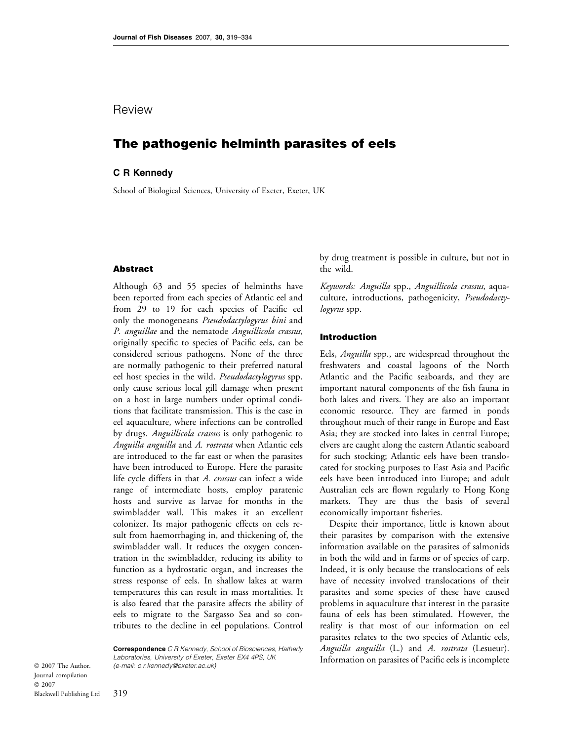# Review

# The pathogenic helminth parasites of eels

### C R Kennedy

School of Biological Sciences, University of Exeter, Exeter, UK

### Abstract

Although 63 and 55 species of helminths have been reported from each species of Atlantic eel and from 29 to 19 for each species of Pacific eel only the monogeneans Pseudodactylogyrus bini and P. anguillae and the nematode Anguillicola crassus, originally specific to species of Pacific eels, can be considered serious pathogens. None of the three are normally pathogenic to their preferred natural eel host species in the wild. Pseudodactylogyrus spp. only cause serious local gill damage when present on a host in large numbers under optimal conditions that facilitate transmission. This is the case in eel aquaculture, where infections can be controlled by drugs. Anguillicola crassus is only pathogenic to Anguilla anguilla and A. rostrata when Atlantic eels are introduced to the far east or when the parasites have been introduced to Europe. Here the parasite life cycle differs in that A. crassus can infect a wide range of intermediate hosts, employ paratenic hosts and survive as larvae for months in the swimbladder wall. This makes it an excellent colonizer. Its major pathogenic effects on eels result from haemorrhaging in, and thickening of, the swimbladder wall. It reduces the oxygen concentration in the swimbladder, reducing its ability to function as a hydrostatic organ, and increases the stress response of eels. In shallow lakes at warm temperatures this can result in mass mortalities. It is also feared that the parasite affects the ability of eels to migrate to the Sargasso Sea and so contributes to the decline in eel populations. Control

Correspondence C R Kennedy, School of Biosciences, Hatherly Laboratories, University of Exeter, Exeter EX4 4PS, UK (e-mail: c.r.kennedy@exeter.ac.uk)

by drug treatment is possible in culture, but not in the wild.

Keywords: Anguilla spp., Anguillicola crassus, aquaculture, introductions, pathogenicity, Pseudodactylogyrus spp.

# Introduction

Eels, Anguilla spp., are widespread throughout the freshwaters and coastal lagoons of the North Atlantic and the Pacific seaboards, and they are important natural components of the fish fauna in both lakes and rivers. They are also an important economic resource. They are farmed in ponds throughout much of their range in Europe and East Asia; they are stocked into lakes in central Europe; elvers are caught along the eastern Atlantic seaboard for such stocking; Atlantic eels have been translocated for stocking purposes to East Asia and Pacific eels have been introduced into Europe; and adult Australian eels are flown regularly to Hong Kong markets. They are thus the basis of several economically important fisheries.

Despite their importance, little is known about their parasites by comparison with the extensive information available on the parasites of salmonids in both the wild and in farms or of species of carp. Indeed, it is only because the translocations of eels have of necessity involved translocations of their parasites and some species of these have caused problems in aquaculture that interest in the parasite fauna of eels has been stimulated. However, the reality is that most of our information on eel parasites relates to the two species of Atlantic eels, Anguilla anguilla (L.) and A. rostrata (Lesueur). Information on parasites of Pacific eels is incomplete

© 2007 The Author. Journal compilation © 2007 Blackwell Publishing Ltd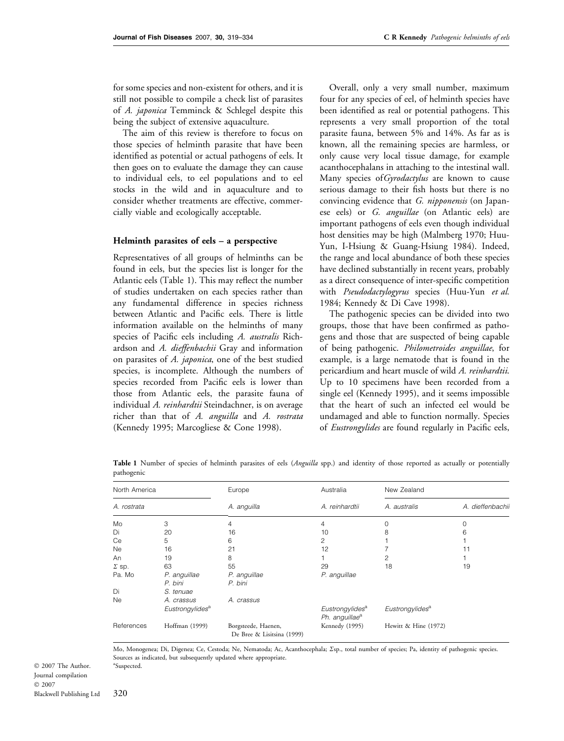for some species and non-existent for others, and it is still not possible to compile a check list of parasites of A. japonica Temminck & Schlegel despite this being the subject of extensive aquaculture.

The aim of this review is therefore to focus on those species of helminth parasite that have been identified as potential or actual pathogens of eels. It then goes on to evaluate the damage they can cause to individual eels, to eel populations and to eel stocks in the wild and in aquaculture and to consider whether treatments are effective, commercially viable and ecologically acceptable.

#### Helminth parasites of eels – a perspective

Representatives of all groups of helminths can be found in eels, but the species list is longer for the Atlantic eels (Table 1). This may reflect the number of studies undertaken on each species rather than any fundamental difference in species richness between Atlantic and Pacific eels. There is little information available on the helminths of many species of Pacific eels including A. australis Richardson and A. dieffenbachii Gray and information on parasites of A. japonica, one of the best studied species, is incomplete. Although the numbers of species recorded from Pacific eels is lower than those from Atlantic eels, the parasite fauna of individual A. reinhardtii Steindachner, is on average richer than that of A. anguilla and A. rostrata (Kennedy 1995; Marcogliese & Cone 1998).

Overall, only a very small number, maximum four for any species of eel, of helminth species have been identified as real or potential pathogens. This represents a very small proportion of the total parasite fauna, between 5% and 14%. As far as is known, all the remaining species are harmless, or only cause very local tissue damage, for example acanthocephalans in attaching to the intestinal wall. Many species of Gyrodactylus are known to cause serious damage to their fish hosts but there is no convincing evidence that G. nipponensis (on Japanese eels) or G. anguillae (on Atlantic eels) are important pathogens of eels even though individual host densities may be high (Malmberg 1970; Huu-Yun, I-Hsiung & Guang-Hsiung 1984). Indeed, the range and local abundance of both these species have declined substantially in recent years, probably as a direct consequence of inter-specific competition with Pseudodactylogyrus species (Huu-Yun et al. 1984; Kennedy & Di Cave 1998).

The pathogenic species can be divided into two groups, those that have been confirmed as pathogens and those that are suspected of being capable of being pathogenic. Philometroides anguillae, for example, is a large nematode that is found in the pericardium and heart muscle of wild A. reinhardtii. Up to 10 specimens have been recorded from a single eel (Kennedy 1995), and it seems impossible that the heart of such an infected eel would be undamaged and able to function normally. Species of Eustrongylides are found regularly in Pacific eels,

Table 1 Number of species of helminth parasites of eels (Anguilla spp.) and identity of those reported as actually or potentially pathogenic

| North America<br>A. rostrata |                             | Europe                                            | Australia                                                 | New Zealand                 |                 |
|------------------------------|-----------------------------|---------------------------------------------------|-----------------------------------------------------------|-----------------------------|-----------------|
|                              |                             | A. anguilla                                       | A. reinhardtii                                            | A. australis                | A. dieffenbachi |
| Mo                           | 3                           | 4                                                 | 4                                                         | $\Omega$                    | $\Omega$        |
| Di                           | 20                          | 16                                                | 10                                                        | 8                           | 6               |
| Ce                           | 5                           | 6                                                 | 2                                                         |                             |                 |
| <b>Ne</b>                    | 16                          | 21                                                | 12                                                        |                             |                 |
| An                           | 19                          | 8                                                 |                                                           | 2                           |                 |
| $\Sigma$ sp.                 | 63                          | 55                                                | 29                                                        | 18                          | 19              |
| Pa. Mo                       | P. anguillae<br>P. bini     | P. anguillae<br>P. bini                           | P. anguillae                                              |                             |                 |
| Di                           | S. tenuae                   |                                                   |                                                           |                             |                 |
| <b>Ne</b>                    | A. crassus                  | A. crassus                                        |                                                           |                             |                 |
|                              | Eustrongylides <sup>a</sup> |                                                   | Eustrongylides <sup>a</sup><br>Ph. anguillae <sup>a</sup> | Eustrongylides <sup>a</sup> |                 |
| References                   | Hoffman (1999)              | Borgsteede, Haenen,<br>De Bree & Lisitsina (1999) | Kennedy (1995)                                            | Hewitt & Hine (1972)        |                 |

Mo, Monogenea; Di, Digenea; Ce, Cestoda; Ne, Nematoda; Ac, Acanthocephala; Esp., total number of species; Pa, identity of pathogenic species. Sources as indicated, but subsequently updated where appropriate. a Suspected.

© 2007 The Author. Journal compilation © 2007 Blackwell Publishing Ltd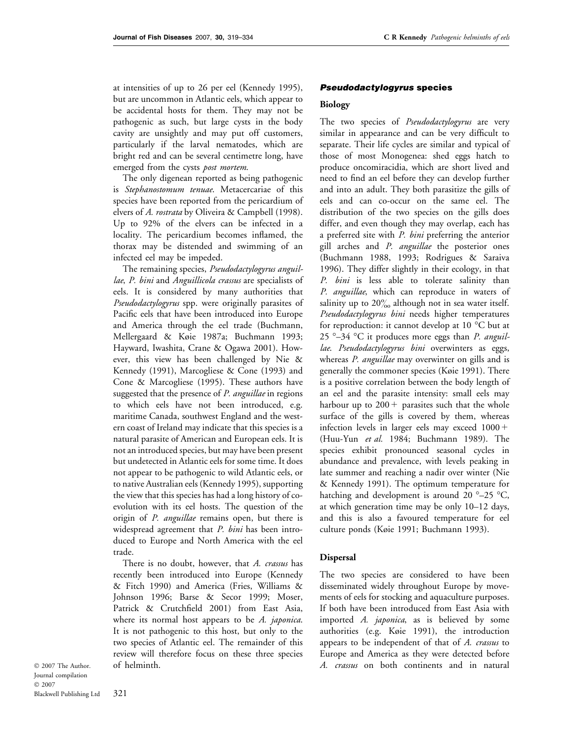at intensities of up to 26 per eel (Kennedy 1995), but are uncommon in Atlantic eels, which appear to be accidental hosts for them. They may not be pathogenic as such, but large cysts in the body cavity are unsightly and may put off customers, particularly if the larval nematodes, which are bright red and can be several centimetre long, have emerged from the cysts post mortem.

The only digenean reported as being pathogenic is Stephanostomum tenuae. Metacercariae of this species have been reported from the pericardium of elvers of A. rostrata by Oliveira & Campbell (1998). Up to 92% of the elvers can be infected in a locality. The pericardium becomes inflamed, the thorax may be distended and swimming of an infected eel may be impeded.

The remaining species, Pseudodactylogyrus anguillae, P. bini and Anguillicola crassus are specialists of eels. It is considered by many authorities that Pseudodactylogyrus spp. were originally parasites of Pacific eels that have been introduced into Europe and America through the eel trade (Buchmann, Mellergaard & Køie 1987a; Buchmann 1993; Hayward, Iwashita, Crane & Ogawa 2001). However, this view has been challenged by Nie & Kennedy (1991), Marcogliese & Cone (1993) and Cone & Marcogliese (1995). These authors have suggested that the presence of P. anguillae in regions to which eels have not been introduced, e.g. maritime Canada, southwest England and the western coast of Ireland may indicate that this species is a natural parasite of American and European eels. It is not an introduced species, but may have been present but undetected in Atlantic eels for some time. It does not appear to be pathogenic to wild Atlantic eels, or to native Australian eels (Kennedy 1995), supporting the view that this species has had a long history of coevolution with its eel hosts. The question of the origin of *P. anguillae* remains open, but there is widespread agreement that P. bini has been introduced to Europe and North America with the eel trade.

There is no doubt, however, that A. crassus has recently been introduced into Europe (Kennedy & Fitch 1990) and America (Fries, Williams & Johnson 1996; Barse & Secor 1999; Moser, Patrick & Crutchfield 2001) from East Asia, where its normal host appears to be A. japonica. It is not pathogenic to this host, but only to the two species of Atlantic eel. The remainder of this review will therefore focus on these three species of helminth.

© 2007 The Author. Journal compilation © 2007 Blackwell Publishing Ltd

321

### Pseudodactylogyrus species

### Biology

The two species of Pseudodactylogyrus are very similar in appearance and can be very difficult to separate. Their life cycles are similar and typical of those of most Monogenea: shed eggs hatch to produce oncomiracidia, which are short lived and need to find an eel before they can develop further and into an adult. They both parasitize the gills of eels and can co-occur on the same eel. The distribution of the two species on the gills does differ, and even though they may overlap, each has a preferred site with P. bini preferring the anterior gill arches and P. anguillae the posterior ones (Buchmann 1988, 1993; Rodrigues & Saraiva 1996). They differ slightly in their ecology, in that P. bini is less able to tolerate salinity than P. anguillae, which can reproduce in waters of salinity up to  $20\%$  although not in sea water itself. Pseudodactylogyrus bini needs higher temperatures for reproduction: it cannot develop at  $10^{\circ}$ C but at 25  $\degree$ -34  $\degree$ C it produces more eggs than *P. anguil*lae. Pseudodactylogyrus bini overwinters as eggs, whereas P. anguillae may overwinter on gills and is generally the commoner species (Køie 1991). There is a positive correlation between the body length of an eel and the parasite intensity: small eels may harbour up to  $200+$  parasites such that the whole surface of the gills is covered by them, whereas infection levels in larger eels may exceed  $1000+$ (Huu-Yun et al. 1984; Buchmann 1989). The species exhibit pronounced seasonal cycles in abundance and prevalence, with levels peaking in late summer and reaching a nadir over winter (Nie & Kennedy 1991). The optimum temperature for hatching and development is around 20  $^{\circ}$ -25  $^{\circ}$ C, at which generation time may be only 10–12 days, and this is also a favoured temperature for eel culture ponds (Køie 1991; Buchmann 1993).

### Dispersal

The two species are considered to have been disseminated widely throughout Europe by movements of eels for stocking and aquaculture purposes. If both have been introduced from East Asia with imported A. japonica, as is believed by some authorities (e.g. Køie 1991), the introduction appears to be independent of that of A. crassus to Europe and America as they were detected before A. crassus on both continents and in natural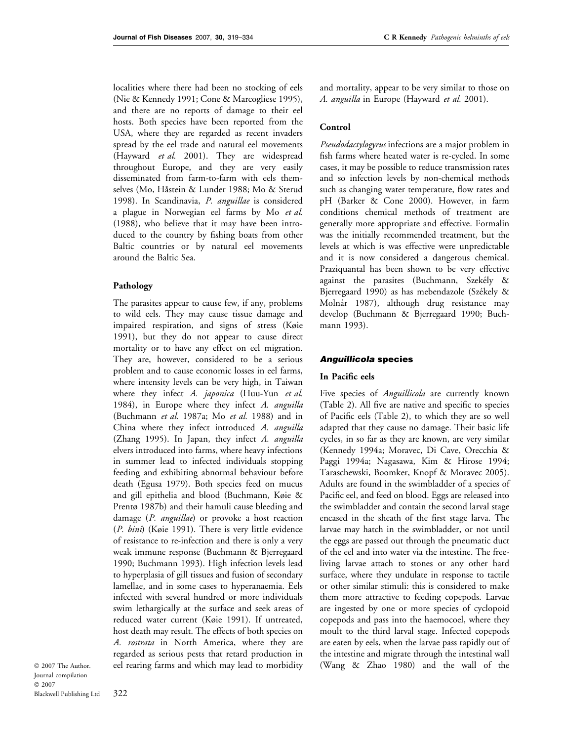localities where there had been no stocking of eels (Nie & Kennedy 1991; Cone & Marcogliese 1995), and there are no reports of damage to their eel hosts. Both species have been reported from the USA, where they are regarded as recent invaders spread by the eel trade and natural eel movements (Hayward et al. 2001). They are widespread throughout Europe, and they are very easily disseminated from farm-to-farm with eels themselves (Mo, Håstein & Lunder 1988; Mo & Sterud 1998). In Scandinavia, P. anguillae is considered a plague in Norwegian eel farms by Mo et al. (1988), who believe that it may have been introduced to the country by fishing boats from other Baltic countries or by natural eel movements around the Baltic Sea.

### Pathology

The parasites appear to cause few, if any, problems to wild eels. They may cause tissue damage and impaired respiration, and signs of stress (Køie 1991), but they do not appear to cause direct mortality or to have any effect on eel migration. They are, however, considered to be a serious problem and to cause economic losses in eel farms, where intensity levels can be very high, in Taiwan where they infect A. japonica (Huu-Yun et al. 1984), in Europe where they infect A. anguilla (Buchmann et al. 1987a; Mo et al. 1988) and in China where they infect introduced A. anguilla (Zhang 1995). In Japan, they infect A. anguilla elvers introduced into farms, where heavy infections in summer lead to infected individuals stopping feeding and exhibiting abnormal behaviour before death (Egusa 1979). Both species feed on mucus and gill epithelia and blood (Buchmann, Køie & Prentø 1987b) and their hamuli cause bleeding and damage (P. anguillae) or provoke a host reaction (P. bini) (Køie 1991). There is very little evidence of resistance to re-infection and there is only a very weak immune response (Buchmann & Bjerregaard 1990; Buchmann 1993). High infection levels lead to hyperplasia of gill tissues and fusion of secondary lamellae, and in some cases to hyperanaemia. Eels infected with several hundred or more individuals swim lethargically at the surface and seek areas of reduced water current (Køie 1991). If untreated, host death may result. The effects of both species on A. rostrata in North America, where they are regarded as serious pests that retard production in eel rearing farms and which may lead to morbidity

© 2007 The Author. Journal compilation © 2007 Blackwell Publishing Ltd and mortality, appear to be very similar to those on A. anguilla in Europe (Hayward et al. 2001).

### Control

Pseudodactylogyrus infections are a major problem in fish farms where heated water is re-cycled. In some cases, it may be possible to reduce transmission rates and so infection levels by non-chemical methods such as changing water temperature, flow rates and pH (Barker & Cone 2000). However, in farm conditions chemical methods of treatment are generally more appropriate and effective. Formalin was the initially recommended treatment, but the levels at which is was effective were unpredictable and it is now considered a dangerous chemical. Praziquantal has been shown to be very effective against the parasites (Buchmann, Szekély & Bjerregaard 1990) as has mebendazole (Székely & Molnár 1987), although drug resistance may develop (Buchmann & Bjerregaard 1990; Buchmann 1993).

## Anguillicola species

### In Pacific eels

Five species of Anguillicola are currently known (Table 2). All five are native and specific to species of Pacific eels (Table 2), to which they are so well adapted that they cause no damage. Their basic life cycles, in so far as they are known, are very similar (Kennedy 1994a; Moravec, Di Cave, Orecchia & Paggi 1994a; Nagasawa, Kim & Hirose 1994; Taraschewski, Boomker, Knopf & Moravec 2005). Adults are found in the swimbladder of a species of Pacific eel, and feed on blood. Eggs are released into the swimbladder and contain the second larval stage encased in the sheath of the first stage larva. The larvae may hatch in the swimbladder, or not until the eggs are passed out through the pneumatic duct of the eel and into water via the intestine. The freeliving larvae attach to stones or any other hard surface, where they undulate in response to tactile or other similar stimuli: this is considered to make them more attractive to feeding copepods. Larvae are ingested by one or more species of cyclopoid copepods and pass into the haemocoel, where they moult to the third larval stage. Infected copepods are eaten by eels, when the larvae pass rapidly out of the intestine and migrate through the intestinal wall (Wang & Zhao 1980) and the wall of the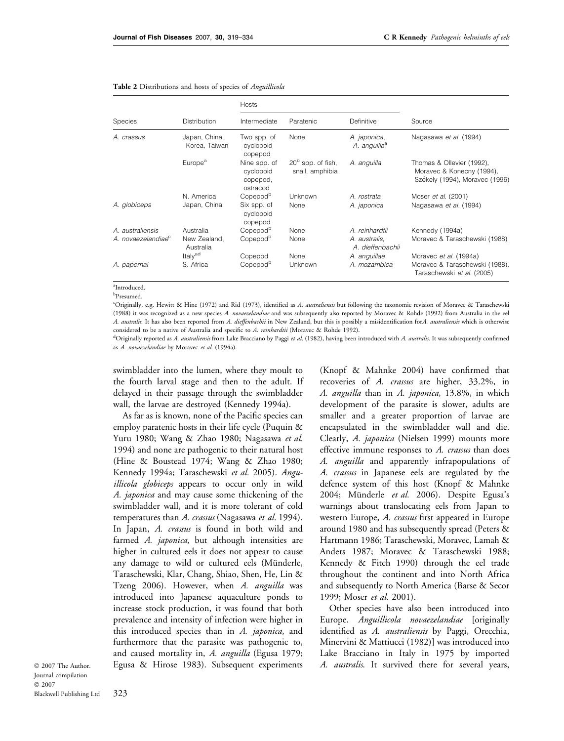|                                |                                | Hosts                                             |                                        |                                          |                                                                                          |  |
|--------------------------------|--------------------------------|---------------------------------------------------|----------------------------------------|------------------------------------------|------------------------------------------------------------------------------------------|--|
| Species                        | <b>Distribution</b>            | Intermediate                                      | Paratenic                              | Definitive                               | Source                                                                                   |  |
| A. crassus                     | Japan, China,<br>Korea, Taiwan | Two spp. of<br>cyclopoid<br>copepod               | None                                   | A. japonica,<br>A. anguilla <sup>a</sup> | Nagasawa et al. (1994)                                                                   |  |
|                                | Europe <sup>a</sup>            | Nine spp. of<br>cyclopoid<br>copepod,<br>ostracod | $20b$ spp. of fish,<br>snail, amphibia | A. anguilla                              | Thomas & Ollevier (1992),<br>Moravec & Konecny (1994),<br>Székely (1994), Moravec (1996) |  |
|                                | N. America                     | Copepod <sup>b</sup>                              | Unknown                                | A. rostrata                              | Moser et al. (2001)                                                                      |  |
| A. globiceps                   | Japan, China                   | Six spp. of<br>cyclopoid<br>copepod               | None                                   | A. japonica                              | Nagasawa et al. (1994)                                                                   |  |
| A. australiensis               | Australia                      | Copepod <sup>b</sup>                              | None                                   | A. reinhardtii                           | Kennedy (1994a)                                                                          |  |
| A. novaezelandiae <sup>c</sup> | New Zealand.<br>Australia      | Copepod <sup>b</sup>                              | None                                   | A. australis.<br>A. dieffenbachii        | Moravec & Taraschewski (1988)                                                            |  |
|                                | Italy <sup>ad</sup>            | Copepod                                           | None                                   | A. anguillae                             | Moravec et al. (1994a)                                                                   |  |
| A. papernai                    | S. Africa                      | Copepod <sup>b</sup>                              | Unknown                                | A. mozambica                             | Moravec & Taraschewski (1988),<br>Taraschewski et al. (2005)                             |  |

#### Table 2 Distributions and hosts of species of Anguillicola

a Introduced.

b Presumed.

<sup>c</sup>Originally, e.g. Hewitt & Hine (1972) and Rid (1973), identified as A. australiensis but following the taxonomic revision of Moravec & Taraschewski (1988) it was recognized as a new species A. novaezelandiae and was subsequently also reported by Moravec & Rohde (1992) from Australia in the eel A. australis. It has also been reported from A. dieffenbachii in New Zealand, but this is possibly a misidentification forA. australiensis which is otherwise considered to be a native of Australia and specific to A. reinhardtii (Moravec & Rohde 1992).

<sup>d</sup>Originally reported as A. australiensis from Lake Bracciano by Paggi et al. (1982), having been introduced with A. australis. It was subsequently confirmed as A. novaezelandiae by Moravec et al. (1994a).

swimbladder into the lumen, where they moult to the fourth larval stage and then to the adult. If delayed in their passage through the swimbladder wall, the larvae are destroyed (Kennedy 1994a).

As far as is known, none of the Pacific species can employ paratenic hosts in their life cycle (Puquin & Yuru 1980; Wang & Zhao 1980; Nagasawa et al. 1994) and none are pathogenic to their natural host (Hine & Boustead 1974; Wang & Zhao 1980; Kennedy 1994a; Taraschewski et al. 2005). Anguillicola globiceps appears to occur only in wild A. *japonica* and may cause some thickening of the swimbladder wall, and it is more tolerant of cold temperatures than A. crassus (Nagasawa et al. 1994). In Japan, A. crassus is found in both wild and farmed A. japonica, but although intensities are higher in cultured eels it does not appear to cause any damage to wild or cultured eels (Münderle, Taraschewski, Klar, Chang, Shiao, Shen, He, Lin & Tzeng 2006). However, when A. anguilla was introduced into Japanese aquaculture ponds to increase stock production, it was found that both prevalence and intensity of infection were higher in this introduced species than in A. japonica, and furthermore that the parasite was pathogenic to, and caused mortality in, A. anguilla (Egusa 1979; Egusa & Hirose 1983). Subsequent experiments

© 2007 The Author. Journal compilation © 2007 Blackwell Publishing Ltd (Knopf & Mahnke 2004) have confirmed that recoveries of A. crassus are higher, 33.2%, in A. anguilla than in A. japonica, 13.8%, in which development of the parasite is slower, adults are smaller and a greater proportion of larvae are encapsulated in the swimbladder wall and die. Clearly, A. japonica (Nielsen 1999) mounts more effective immune responses to A. crassus than does A. anguilla and apparently infrapopulations of A. crassus in Japanese eels are regulated by the defence system of this host (Knopf & Mahnke 2004; Münderle et al. 2006). Despite Egusa's warnings about translocating eels from Japan to western Europe, A. crassus first appeared in Europe around 1980 and has subsequently spread (Peters & Hartmann 1986; Taraschewski, Moravec, Lamah & Anders 1987; Moravec & Taraschewski 1988; Kennedy & Fitch 1990) through the eel trade throughout the continent and into North Africa and subsequently to North America (Barse & Secor 1999; Moser et al. 2001).

Other species have also been introduced into Europe. Anguillicola novaezelandiae [originally identified as A. australiensis by Paggi, Orecchia, Minervini & Mattiucci (1982)] was introduced into Lake Bracciano in Italy in 1975 by imported A. australis. It survived there for several years,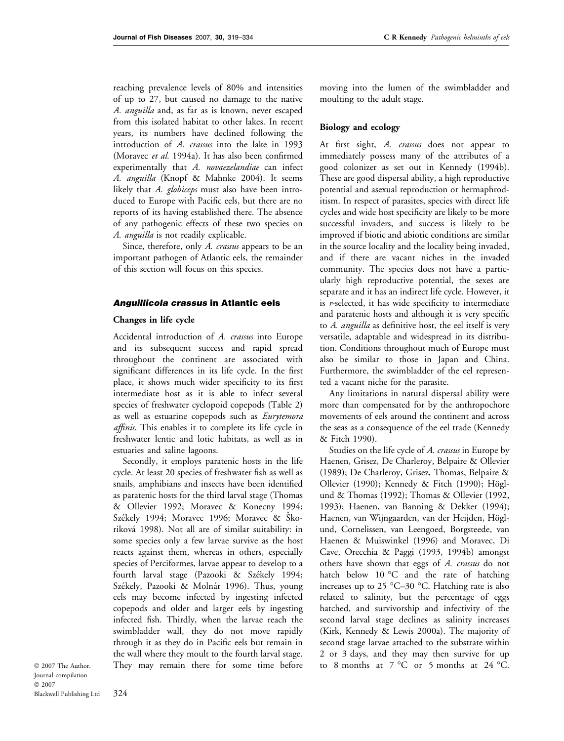reaching prevalence levels of 80% and intensities of up to 27, but caused no damage to the native A. anguilla and, as far as is known, never escaped from this isolated habitat to other lakes. In recent years, its numbers have declined following the introduction of A. crassus into the lake in 1993 (Moravec *et al.* 1994a). It has also been confirmed experimentally that A. novaezelandiae can infect A. anguilla (Knopf & Mahnke 2004). It seems likely that A. globiceps must also have been introduced to Europe with Pacific eels, but there are no reports of its having established there. The absence of any pathogenic effects of these two species on A. anguilla is not readily explicable.

Since, therefore, only A. crassus appears to be an important pathogen of Atlantic eels, the remainder of this section will focus on this species.

### Anguillicola crassus in Atlantic eels

### Changes in life cycle

Accidental introduction of A. crassus into Europe and its subsequent success and rapid spread throughout the continent are associated with significant differences in its life cycle. In the first place, it shows much wider specificity to its first intermediate host as it is able to infect several species of freshwater cyclopoid copepods (Table 2) as well as estuarine copepods such as Eurytemora affinis. This enables it to complete its life cycle in freshwater lentic and lotic habitats, as well as in estuaries and saline lagoons.

Secondly, it employs paratenic hosts in the life cycle. At least 20 species of freshwater fish as well as snails, amphibians and insects have been identified as paratenic hosts for the third larval stage (Thomas & Ollevier 1992; Moravec & Konecny 1994; Székely 1994; Moravec 1996; Moravec & Skoriková 1998). Not all are of similar suitability: in some species only a few larvae survive as the host reacts against them, whereas in others, especially species of Perciformes, larvae appear to develop to a fourth larval stage (Pazooki & Székely 1994; Székely, Pazooki & Molnár 1996). Thus, young eels may become infected by ingesting infected copepods and older and larger eels by ingesting infected fish. Thirdly, when the larvae reach the swimbladder wall, they do not move rapidly through it as they do in Pacific eels but remain in the wall where they moult to the fourth larval stage. They may remain there for some time before

© 2007 The Author. Journal compilation © 2007 Blackwell Publishing Ltd moving into the lumen of the swimbladder and moulting to the adult stage.

### Biology and ecology

At first sight, A. crassus does not appear to immediately possess many of the attributes of a good colonizer as set out in Kennedy (1994b). These are good dispersal ability, a high reproductive potential and asexual reproduction or hermaphroditism. In respect of parasites, species with direct life cycles and wide host specificity are likely to be more successful invaders, and success is likely to be improved if biotic and abiotic conditions are similar in the source locality and the locality being invaded, and if there are vacant niches in the invaded community. The species does not have a particularly high reproductive potential, the sexes are separate and it has an indirect life cycle. However, it is r-selected, it has wide specificity to intermediate and paratenic hosts and although it is very specific to A. anguilla as definitive host, the eel itself is very versatile, adaptable and widespread in its distribution. Conditions throughout much of Europe must also be similar to those in Japan and China. Furthermore, the swimbladder of the eel represented a vacant niche for the parasite.

Any limitations in natural dispersal ability were more than compensated for by the anthropochore movements of eels around the continent and across the seas as a consequence of the eel trade (Kennedy & Fitch 1990).

Studies on the life cycle of A. crassus in Europe by Haenen, Grisez, De Charleroy, Belpaire & Ollevier (1989); De Charleroy, Grisez, Thomas, Belpaire & Ollevier (1990); Kennedy & Fitch (1990); Höglund & Thomas (1992); Thomas & Ollevier (1992, 1993); Haenen, van Banning & Dekker (1994); Haenen, van Wijngaarden, van der Heijden, Höglund, Cornelissen, van Leengoed, Borgsteede, van Haenen & Muiswinkel (1996) and Moravec, Di Cave, Orecchia & Paggi (1993, 1994b) amongst others have shown that eggs of A. crassus do not hatch below 10  $\degree$ C and the rate of hatching increases up to 25  $^{\circ}$ C–30  $^{\circ}$ C. Hatching rate is also related to salinity, but the percentage of eggs hatched, and survivorship and infectivity of the second larval stage declines as salinity increases (Kirk, Kennedy & Lewis 2000a). The majority of second stage larvae attached to the substrate within 2 or 3 days, and they may then survive for up to 8 months at  $7^{\circ}$ C or 5 months at 24 °C.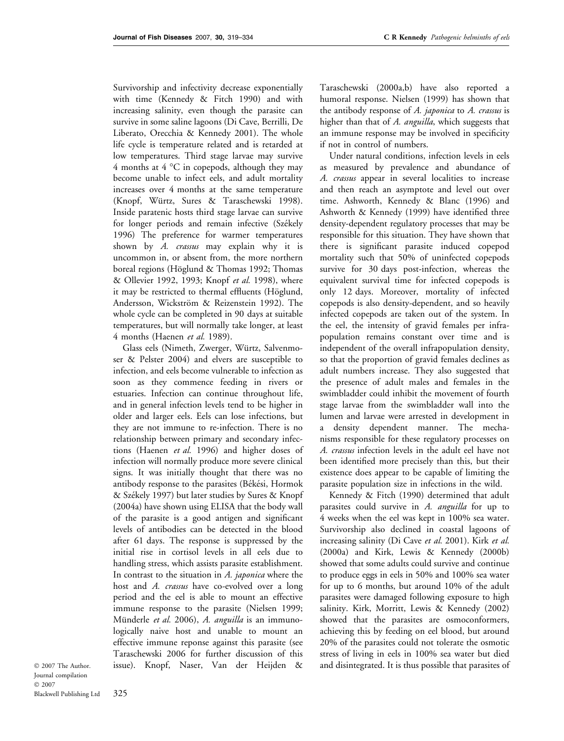Survivorship and infectivity decrease exponentially with time (Kennedy & Fitch 1990) and with increasing salinity, even though the parasite can survive in some saline lagoons (Di Cave, Berrilli, De Liberato, Orecchia & Kennedy 2001). The whole life cycle is temperature related and is retarded at low temperatures. Third stage larvae may survive 4 months at  $4^{\circ}$ C in copepods, although they may become unable to infect eels, and adult mortality increases over 4 months at the same temperature (Knopf, Würtz, Sures & Taraschewski 1998). Inside paratenic hosts third stage larvae can survive for longer periods and remain infective (Székely 1996) The preference for warmer temperatures shown by A. crassus may explain why it is uncommon in, or absent from, the more northern boreal regions (Höglund & Thomas 1992; Thomas & Ollevier 1992, 1993; Knopf et al. 1998), where it may be restricted to thermal effluents (Höglund, Andersson, Wickström & Reizenstein 1992). The whole cycle can be completed in 90 days at suitable temperatures, but will normally take longer, at least 4 months (Haenen et al. 1989).

Glass eels (Nimeth, Zwerger, Würtz, Salvenmoser & Pelster 2004) and elvers are susceptible to infection, and eels become vulnerable to infection as soon as they commence feeding in rivers or estuaries. Infection can continue throughout life, and in general infection levels tend to be higher in older and larger eels. Eels can lose infections, but they are not immune to re-infection. There is no relationship between primary and secondary infections (Haenen et al. 1996) and higher doses of infection will normally produce more severe clinical signs. It was initially thought that there was no antibody response to the parasites (Békési, Hormok & Székely 1997) but later studies by Sures & Knopf (2004a) have shown using ELISA that the body wall of the parasite is a good antigen and significant levels of antibodies can be detected in the blood after 61 days. The response is suppressed by the initial rise in cortisol levels in all eels due to handling stress, which assists parasite establishment. In contrast to the situation in A. *japonica* where the host and A. crassus have co-evolved over a long period and the eel is able to mount an effective immune response to the parasite (Nielsen 1999; Münderle et al. 2006), A. anguilla is an immunologically naive host and unable to mount an effective immune reponse against this parasite (see Taraschewski 2006 for further discussion of this issue). Knopf, Naser, Van der Heijden &

© 2007 The Author. Journal compilation © 2007 Blackwell Publishing Ltd Taraschewski (2000a,b) have also reported a humoral response. Nielsen (1999) has shown that the antibody response of A. japonica to A. crassus is higher than that of A. anguilla, which suggests that an immune response may be involved in specificity if not in control of numbers.

Under natural conditions, infection levels in eels as measured by prevalence and abundance of A. crassus appear in several localities to increase and then reach an asymptote and level out over time. Ashworth, Kennedy & Blanc (1996) and Ashworth & Kennedy (1999) have identified three density-dependent regulatory processes that may be responsible for this situation. They have shown that there is significant parasite induced copepod mortality such that 50% of uninfected copepods survive for 30 days post-infection, whereas the equivalent survival time for infected copepods is only 12 days. Moreover, mortality of infected copepods is also density-dependent, and so heavily infected copepods are taken out of the system. In the eel, the intensity of gravid females per infrapopulation remains constant over time and is independent of the overall infrapopulation density, so that the proportion of gravid females declines as adult numbers increase. They also suggested that the presence of adult males and females in the swimbladder could inhibit the movement of fourth stage larvae from the swimbladder wall into the lumen and larvae were arrested in development in a density dependent manner. The mechanisms responsible for these regulatory processes on A. crassus infection levels in the adult eel have not been identified more precisely than this, but their existence does appear to be capable of limiting the parasite population size in infections in the wild.

Kennedy & Fitch (1990) determined that adult parasites could survive in A. anguilla for up to 4 weeks when the eel was kept in 100% sea water. Survivorship also declined in coastal lagoons of increasing salinity (Di Cave et al. 2001). Kirk et al. (2000a) and Kirk, Lewis & Kennedy (2000b) showed that some adults could survive and continue to produce eggs in eels in 50% and 100% sea water for up to 6 months, but around 10% of the adult parasites were damaged following exposure to high salinity. Kirk, Morritt, Lewis & Kennedy (2002) showed that the parasites are osmoconformers, achieving this by feeding on eel blood, but around 20% of the parasites could not tolerate the osmotic stress of living in eels in 100% sea water but died and disintegrated. It is thus possible that parasites of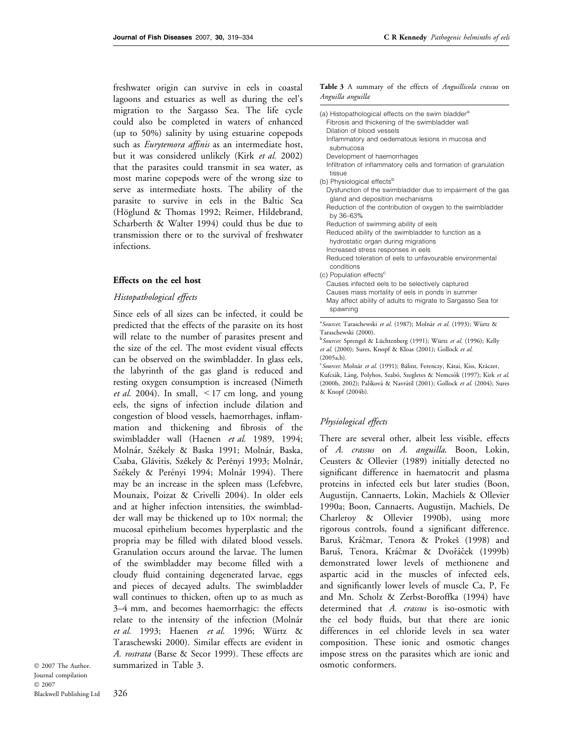freshwater origin can survive in eels in coastal lagoons and estuaries as well as during the eel's migration to the Sargasso Sea. The life cycle could also be completed in waters of enhanced (up to 50%) salinity by using estuarine copepods such as *Eurytemora affinis* as an intermediate host, but it was considered unlikely (Kirk et al. 2002) that the parasites could transmit in sea water, as most marine copepods were of the wrong size to serve as intermediate hosts. The ability of the parasite to survive in eels in the Baltic Sea (Höglund & Thomas 1992; Reimer, Hildebrand, Scharberth & Walter 1994) could thus be due to transmission there or to the survival of freshwater infections.

### Effects on the eel host

#### Histopathological effects

Since eels of all sizes can be infected, it could be predicted that the effects of the parasite on its host will relate to the number of parasites present and the size of the eel. The most evident visual effects can be observed on the swimbladder. In glass eels, the labyrinth of the gas gland is reduced and resting oxygen consumption is increased (Nimeth et al. 2004). In small,  $\leq 17$  cm long, and young eels, the signs of infection include dilation and congestion of blood vessels, haemorrhages, inflammation and thickening and fibrosis of the swimbladder wall (Haenen et al. 1989, 1994; Molnár, Székely & Baska 1991; Molnár, Baska, Csaba, Glávitis, Székely & Perényi 1993; Molnár, Székely & Perényi 1994; Molnár 1994). There may be an increase in the spleen mass (Lefebvre, Mounaix, Poizat & Crivelli 2004). In older eels and at higher infection intensities, the swimbladder wall may be thickened up to  $10\times$  normal; the mucosal epithelium becomes hyperplastic and the propria may be filled with dilated blood vessels. Granulation occurs around the larvae. The lumen of the swimbladder may become filled with a cloudy fluid containing degenerated larvae, eggs and pieces of decayed adults. The swimbladder wall continues to thicken, often up to as much as 3–4 mm, and becomes haemorrhagic: the effects relate to the intensity of the infection (Molnár et al. 1993; Haenen et al. 1996; Würtz & Taraschewski 2000). Similar effects are evident in A. rostrata (Barse & Secor 1999). These effects are summarized in Table 3.

© 2007 The Author. Journal compilation © 2007 Blackwell Publishing Ltd Table 3 A summary of the effects of Anguillicola crassus on Anguilla anguilla

| Fibrosis and thickening of the swimbladder wall<br>Dilation of blood vessels<br>Inflammatory and oedematous lesions in mucosa and<br>submucosa<br>Development of haemorrhages<br>Infiltration of inflammatory cells and formation of granulation<br>tissue<br>(b) Physiological effects <sup>b</sup><br>Dysfunction of the swimbladder due to impairment of the gas<br>gland and deposition mechanisms<br>Reduction of the contribution of oxygen to the swimbladder<br>bv 36–63%<br>Reduction of swimming ability of eels<br>Reduced ability of the swimbladder to function as a |  |
|-----------------------------------------------------------------------------------------------------------------------------------------------------------------------------------------------------------------------------------------------------------------------------------------------------------------------------------------------------------------------------------------------------------------------------------------------------------------------------------------------------------------------------------------------------------------------------------|--|
|                                                                                                                                                                                                                                                                                                                                                                                                                                                                                                                                                                                   |  |
|                                                                                                                                                                                                                                                                                                                                                                                                                                                                                                                                                                                   |  |
|                                                                                                                                                                                                                                                                                                                                                                                                                                                                                                                                                                                   |  |
|                                                                                                                                                                                                                                                                                                                                                                                                                                                                                                                                                                                   |  |
|                                                                                                                                                                                                                                                                                                                                                                                                                                                                                                                                                                                   |  |
|                                                                                                                                                                                                                                                                                                                                                                                                                                                                                                                                                                                   |  |
|                                                                                                                                                                                                                                                                                                                                                                                                                                                                                                                                                                                   |  |
|                                                                                                                                                                                                                                                                                                                                                                                                                                                                                                                                                                                   |  |
|                                                                                                                                                                                                                                                                                                                                                                                                                                                                                                                                                                                   |  |
| hydrostatic organ during migrations                                                                                                                                                                                                                                                                                                                                                                                                                                                                                                                                               |  |
| Increased stress responses in eels                                                                                                                                                                                                                                                                                                                                                                                                                                                                                                                                                |  |
| Reduced toleration of eels to unfavourable environmental<br>conditions                                                                                                                                                                                                                                                                                                                                                                                                                                                                                                            |  |
| (c) Population effects <sup>c</sup>                                                                                                                                                                                                                                                                                                                                                                                                                                                                                                                                               |  |
| Causes infected eels to be selectively captured<br>Causes mass mortality of eels in ponds in summer                                                                                                                                                                                                                                                                                                                                                                                                                                                                               |  |
| May affect ability of adults to migrate to Sargasso Sea for<br>spawning                                                                                                                                                                                                                                                                                                                                                                                                                                                                                                           |  |

<sup>a</sup> Sources: Taraschewski et al. (1987); Molnár et al. (1993); Würtz & Taraschewski (2000).

<sup>b</sup> Sources: Sprengel & Lüchtenberg (1991); Würtz et al. (1996); Kelly et al. (2000); Sures, Knopf & Kloas (2001); Gollock et al.  $(2005a,b)$ 

<sup>c</sup> Sources: Molnár et al. (1991); Bálint, Ferenczy, Kátai, Kiss, Kráczer, Kufcsák, Láng, Polyhos, Szabó, Szegletes & Nemcsók (1997); Kirk et al. (2000b, 2002); Paliková & Navrátil (2001); Gollock et al. (2004); Sures & Knopf (2004b).

# Physiological effects

There are several other, albeit less visible, effects of A. crassus on A. anguilla. Boon, Lokin, Ceusters & Ollevier (1989) initially detected no significant difference in haematocrit and plasma proteins in infected eels but later studies (Boon, Augustijn, Cannaerts, Lokin, Machiels & Ollevier 1990a; Boon, Cannaerts, Augustijn, Machiels, De Charleroy & Ollevier 1990b), using more rigorous controls, found a significant difference. Baruš, Kráčmar, Tenora & Prokeš (1998) and Baruš, Tenora, Kráčmar & Dvořáček (1999b) demonstrated lower levels of methionene and aspartic acid in the muscles of infected eels, and significantly lower levels of muscle Ca, P, Fe and Mn. Scholz & Zerbst-Boroffka (1994) have determined that A. crassus is iso-osmotic with the eel body fluids, but that there are ionic differences in eel chloride levels in sea water composition. These ionic and osmotic changes impose stress on the parasites which are ionic and osmotic conformers.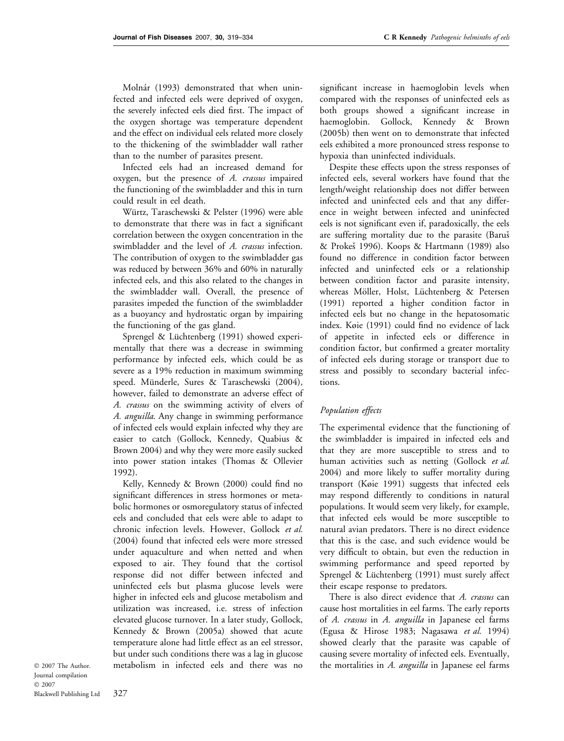Molnár (1993) demonstrated that when uninfected and infected eels were deprived of oxygen, the severely infected eels died first. The impact of the oxygen shortage was temperature dependent and the effect on individual eels related more closely to the thickening of the swimbladder wall rather than to the number of parasites present.

Infected eels had an increased demand for oxygen, but the presence of A. crassus impaired the functioning of the swimbladder and this in turn could result in eel death.

Wu¨rtz, Taraschewski & Pelster (1996) were able to demonstrate that there was in fact a significant correlation between the oxygen concentration in the swimbladder and the level of A. crassus infection. The contribution of oxygen to the swimbladder gas was reduced by between 36% and 60% in naturally infected eels, and this also related to the changes in the swimbladder wall. Overall, the presence of parasites impeded the function of the swimbladder as a buoyancy and hydrostatic organ by impairing the functioning of the gas gland.

Sprengel & Lüchtenberg (1991) showed experimentally that there was a decrease in swimming performance by infected eels, which could be as severe as a 19% reduction in maximum swimming speed. Münderle, Sures & Taraschewski (2004), however, failed to demonstrate an adverse effect of A. crassus on the swimming activity of elvers of A. anguilla. Any change in swimming performance of infected eels would explain infected why they are easier to catch (Gollock, Kennedy, Quabius & Brown 2004) and why they were more easily sucked into power station intakes (Thomas & Ollevier 1992).

Kelly, Kennedy & Brown (2000) could find no significant differences in stress hormones or metabolic hormones or osmoregulatory status of infected eels and concluded that eels were able to adapt to chronic infection levels. However, Gollock et al. (2004) found that infected eels were more stressed under aquaculture and when netted and when exposed to air. They found that the cortisol response did not differ between infected and uninfected eels but plasma glucose levels were higher in infected eels and glucose metabolism and utilization was increased, i.e. stress of infection elevated glucose turnover. In a later study, Gollock, Kennedy & Brown (2005a) showed that acute temperature alone had little effect as an eel stressor, but under such conditions there was a lag in glucose metabolism in infected eels and there was no

© 2007 The Author. Journal compilation © 2007 Blackwell Publishing Ltd significant increase in haemoglobin levels when compared with the responses of uninfected eels as both groups showed a significant increase in haemoglobin. Gollock, Kennedy & Brown (2005b) then went on to demonstrate that infected eels exhibited a more pronounced stress response to hypoxia than uninfected individuals.

Despite these effects upon the stress responses of infected eels, several workers have found that the length/weight relationship does not differ between infected and uninfected eels and that any difference in weight between infected and uninfected eels is not significant even if, paradoxically, the eels are suffering mortality due to the parasite (Baruš & Prokeš 1996). Koops & Hartmann (1989) also found no difference in condition factor between infected and uninfected eels or a relationship between condition factor and parasite intensity, whereas Möller, Holst, Lüchtenberg & Petersen (1991) reported a higher condition factor in infected eels but no change in the hepatosomatic index. Køie (1991) could find no evidence of lack of appetite in infected eels or difference in condition factor, but confirmed a greater mortality of infected eels during storage or transport due to stress and possibly to secondary bacterial infections.

# Population effects

The experimental evidence that the functioning of the swimbladder is impaired in infected eels and that they are more susceptible to stress and to human activities such as netting (Gollock et al. 2004) and more likely to suffer mortality during transport (Køie 1991) suggests that infected eels may respond differently to conditions in natural populations. It would seem very likely, for example, that infected eels would be more susceptible to natural avian predators. There is no direct evidence that this is the case, and such evidence would be very difficult to obtain, but even the reduction in swimming performance and speed reported by Sprengel & Lüchtenberg (1991) must surely affect their escape response to predators.

There is also direct evidence that A. crassus can cause host mortalities in eel farms. The early reports of A. crassus in A. anguilla in Japanese eel farms (Egusa & Hirose 1983; Nagasawa et al. 1994) showed clearly that the parasite was capable of causing severe mortality of infected eels. Eventually, the mortalities in A. anguilla in Japanese eel farms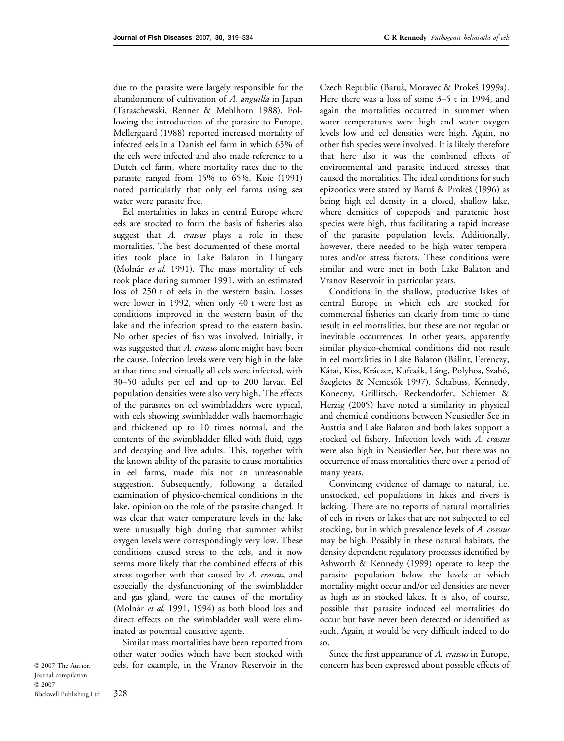due to the parasite were largely responsible for the abandonment of cultivation of A. anguilla in Japan (Taraschewski, Renner & Mehlhorn 1988). Following the introduction of the parasite to Europe, Mellergaard (1988) reported increased mortality of infected eels in a Danish eel farm in which 65% of the eels were infected and also made reference to a Dutch eel farm, where mortality rates due to the parasite ranged from 15% to 65%. Køie (1991) noted particularly that only eel farms using sea water were parasite free.

Eel mortalities in lakes in central Europe where eels are stocked to form the basis of fisheries also suggest that A. crassus plays a role in these mortalities. The best documented of these mortalities took place in Lake Balaton in Hungary (Molnár et al. 1991). The mass mortality of eels took place during summer 1991, with an estimated loss of 250 t of eels in the western basin. Losses were lower in 1992, when only 40 t were lost as conditions improved in the western basin of the lake and the infection spread to the eastern basin. No other species of fish was involved. Initially, it was suggested that A. crassus alone might have been the cause. Infection levels were very high in the lake at that time and virtually all eels were infected, with 30–50 adults per eel and up to 200 larvae. Eel population densities were also very high. The effects of the parasites on eel swimbladders were typical, with eels showing swimbladder walls haemorrhagic and thickened up to 10 times normal, and the contents of the swimbladder filled with fluid, eggs and decaying and live adults. This, together with the known ability of the parasite to cause mortalities in eel farms, made this not an unreasonable suggestion. Subsequently, following a detailed examination of physico-chemical conditions in the lake, opinion on the role of the parasite changed. It was clear that water temperature levels in the lake were unusually high during that summer whilst oxygen levels were correspondingly very low. These conditions caused stress to the eels, and it now seems more likely that the combined effects of this stress together with that caused by A. crassus, and especially the dysfunctioning of the swimbladder and gas gland, were the causes of the mortality (Molnár et al. 1991, 1994) as both blood loss and direct effects on the swimbladder wall were eliminated as potential causative agents.

Similar mass mortalities have been reported from other water bodies which have been stocked with eels, for example, in the Vranov Reservoir in the Czech Republic (Baruš, Moravec & Prokeš 1999a). Here there was a loss of some 3–5 t in 1994, and again the mortalities occurred in summer when water temperatures were high and water oxygen levels low and eel densities were high. Again, no other fish species were involved. It is likely therefore that here also it was the combined effects of environmental and parasite induced stresses that caused the mortalities. The ideal conditions for such epizootics were stated by Baruš & Prokeš (1996) as being high eel density in a closed, shallow lake, where densities of copepods and paratenic host species were high, thus facilitating a rapid increase of the parasite population levels. Additionally, however, there needed to be high water temperatures and/or stress factors. These conditions were similar and were met in both Lake Balaton and Vranov Reservoir in particular years.

Conditions in the shallow, productive lakes of central Europe in which eels are stocked for commercial fisheries can clearly from time to time result in eel mortalities, but these are not regular or inevitable occurrences. In other years, apparently similar physico-chemical conditions did not result in eel mortalities in Lake Balaton (Bálint, Ferenczy, Kátai, Kiss, Kráczer, Kufcsák, Láng, Polyhos, Szabó, Szegletes & Nemcsók 1997). Schabuss, Kennedy, Konecny, Grillitsch, Reckendorfer, Schiemer & Herzig (2005) have noted a similarity in physical and chemical conditions between Neusiedler See in Austria and Lake Balaton and both lakes support a stocked eel fishery. Infection levels with A. crassus were also high in Neusiedler See, but there was no occurrence of mass mortalities there over a period of many years.

Convincing evidence of damage to natural, i.e. unstocked, eel populations in lakes and rivers is lacking. There are no reports of natural mortalities of eels in rivers or lakes that are not subjected to eel stocking, but in which prevalence levels of A. crassus may be high. Possibly in these natural habitats, the density dependent regulatory processes identified by Ashworth & Kennedy (1999) operate to keep the parasite population below the levels at which mortality might occur and/or eel densities are never as high as in stocked lakes. It is also, of course, possible that parasite induced eel mortalities do occur but have never been detected or identified as such. Again, it would be very difficult indeed to do so.

Since the first appearance of A. crassus in Europe, concern has been expressed about possible effects of

© 2007 The Author. Journal compilation © 2007 Blackwell Publishing Ltd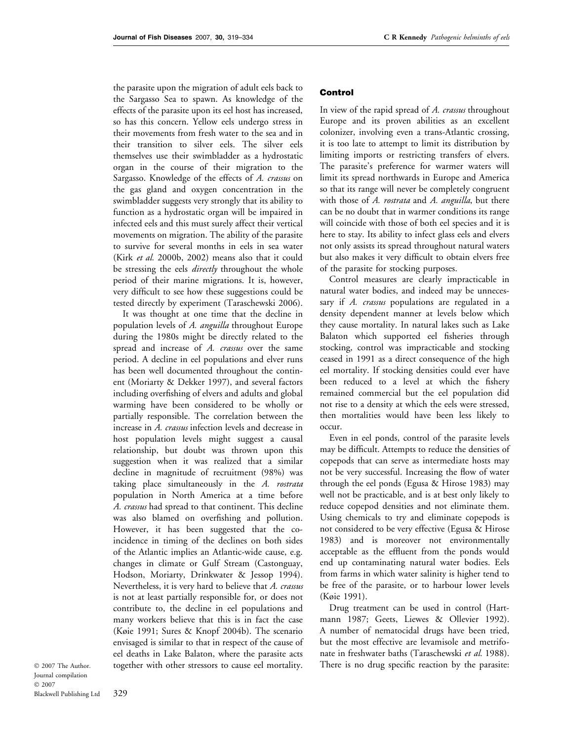the parasite upon the migration of adult eels back to the Sargasso Sea to spawn. As knowledge of the effects of the parasite upon its eel host has increased, so has this concern. Yellow eels undergo stress in their movements from fresh water to the sea and in their transition to silver eels. The silver eels themselves use their swimbladder as a hydrostatic organ in the course of their migration to the Sargasso. Knowledge of the effects of A. crassus on the gas gland and oxygen concentration in the swimbladder suggests very strongly that its ability to function as a hydrostatic organ will be impaired in infected eels and this must surely affect their vertical movements on migration. The ability of the parasite to survive for several months in eels in sea water (Kirk et al. 2000b, 2002) means also that it could be stressing the eels *directly* throughout the whole period of their marine migrations. It is, however, very difficult to see how these suggestions could be tested directly by experiment (Taraschewski 2006).

It was thought at one time that the decline in population levels of A. anguilla throughout Europe during the 1980s might be directly related to the spread and increase of A. crassus over the same period. A decline in eel populations and elver runs has been well documented throughout the continent (Moriarty & Dekker 1997), and several factors including overfishing of elvers and adults and global warming have been considered to be wholly or partially responsible. The correlation between the increase in A. crassus infection levels and decrease in host population levels might suggest a causal relationship, but doubt was thrown upon this suggestion when it was realized that a similar decline in magnitude of recruitment (98%) was taking place simultaneously in the A. rostrata population in North America at a time before A. crassus had spread to that continent. This decline was also blamed on overfishing and pollution. However, it has been suggested that the coincidence in timing of the declines on both sides of the Atlantic implies an Atlantic-wide cause, e.g. changes in climate or Gulf Stream (Castonguay, Hodson, Moriarty, Drinkwater & Jessop 1994). Nevertheless, it is very hard to believe that A. crassus is not at least partially responsible for, or does not contribute to, the decline in eel populations and many workers believe that this is in fact the case (Køie 1991; Sures & Knopf 2004b). The scenario envisaged is similar to that in respect of the cause of eel deaths in Lake Balaton, where the parasite acts together with other stressors to cause eel mortality.

© 2007 The Author. Journal compilation © 2007 Blackwell Publishing Ltd

329

### Control

In view of the rapid spread of A. crassus throughout Europe and its proven abilities as an excellent colonizer, involving even a trans-Atlantic crossing, it is too late to attempt to limit its distribution by limiting imports or restricting transfers of elvers. The parasite's preference for warmer waters will limit its spread northwards in Europe and America so that its range will never be completely congruent with those of A. rostrata and A. anguilla, but there can be no doubt that in warmer conditions its range will coincide with those of both eel species and it is here to stay. Its ability to infect glass eels and elvers not only assists its spread throughout natural waters but also makes it very difficult to obtain elvers free of the parasite for stocking purposes.

Control measures are clearly impracticable in natural water bodies, and indeed may be unnecessary if A. crassus populations are regulated in a density dependent manner at levels below which they cause mortality. In natural lakes such as Lake Balaton which supported eel fisheries through stocking, control was impracticable and stocking ceased in 1991 as a direct consequence of the high eel mortality. If stocking densities could ever have been reduced to a level at which the fishery remained commercial but the eel population did not rise to a density at which the eels were stressed, then mortalities would have been less likely to occur.

Even in eel ponds, control of the parasite levels may be difficult. Attempts to reduce the densities of copepods that can serve as intermediate hosts may not be very successful. Increasing the flow of water through the eel ponds (Egusa & Hirose 1983) may well not be practicable, and is at best only likely to reduce copepod densities and not eliminate them. Using chemicals to try and eliminate copepods is not considered to be very effective (Egusa & Hirose 1983) and is moreover not environmentally acceptable as the effluent from the ponds would end up contaminating natural water bodies. Eels from farms in which water salinity is higher tend to be free of the parasite, or to harbour lower levels (Køie 1991).

Drug treatment can be used in control (Hartmann 1987; Geets, Liewes & Ollevier 1992). A number of nematocidal drugs have been tried, but the most effective are levamisole and metrifonate in freshwater baths (Taraschewski et al. 1988). There is no drug specific reaction by the parasite: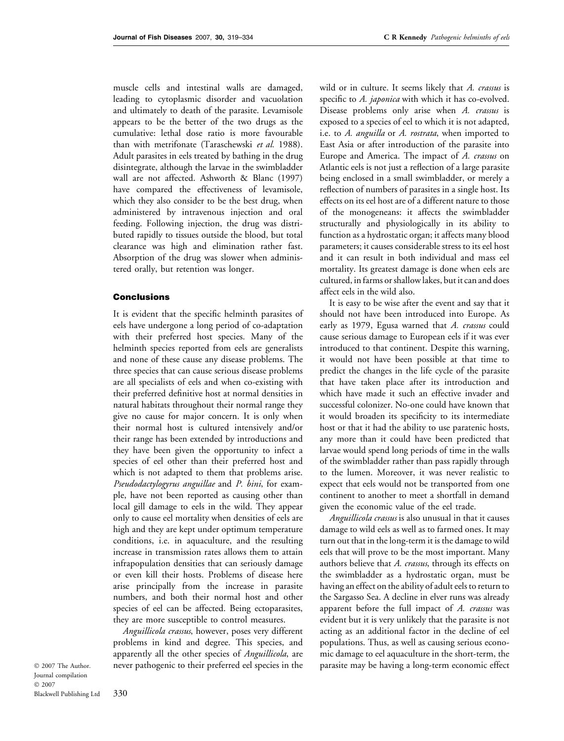muscle cells and intestinal walls are damaged, leading to cytoplasmic disorder and vacuolation and ultimately to death of the parasite. Levamisole appears to be the better of the two drugs as the cumulative: lethal dose ratio is more favourable than with metrifonate (Taraschewski et al. 1988). Adult parasites in eels treated by bathing in the drug disintegrate, although the larvae in the swimbladder wall are not affected. Ashworth & Blanc (1997) have compared the effectiveness of levamisole, which they also consider to be the best drug, when administered by intravenous injection and oral feeding. Following injection, the drug was distributed rapidly to tissues outside the blood, but total clearance was high and elimination rather fast. Absorption of the drug was slower when administered orally, but retention was longer.

### **Conclusions**

It is evident that the specific helminth parasites of eels have undergone a long period of co-adaptation with their preferred host species. Many of the helminth species reported from eels are generalists and none of these cause any disease problems. The three species that can cause serious disease problems are all specialists of eels and when co-existing with their preferred definitive host at normal densities in natural habitats throughout their normal range they give no cause for major concern. It is only when their normal host is cultured intensively and/or their range has been extended by introductions and they have been given the opportunity to infect a species of eel other than their preferred host and which is not adapted to them that problems arise. Pseudodactylogyrus anguillae and P. bini, for example, have not been reported as causing other than local gill damage to eels in the wild. They appear only to cause eel mortality when densities of eels are high and they are kept under optimum temperature conditions, i.e. in aquaculture, and the resulting increase in transmission rates allows them to attain infrapopulation densities that can seriously damage or even kill their hosts. Problems of disease here arise principally from the increase in parasite numbers, and both their normal host and other species of eel can be affected. Being ectoparasites, they are more susceptible to control measures.

Anguillicola crassus, however, poses very different problems in kind and degree. This species, and apparently all the other species of *Anguillicola*, are never pathogenic to their preferred eel species in the wild or in culture. It seems likely that A. crassus is specific to A. japonica with which it has co-evolved. Disease problems only arise when A. crassus is exposed to a species of eel to which it is not adapted, i.e. to A. anguilla or A. rostrata, when imported to East Asia or after introduction of the parasite into Europe and America. The impact of A. crassus on Atlantic eels is not just a reflection of a large parasite being enclosed in a small swimbladder, or merely a reflection of numbers of parasites in a single host. Its effects on its eel host are of a different nature to those of the monogeneans: it affects the swimbladder structurally and physiologically in its ability to function as a hydrostatic organ; it affects many blood parameters; it causes considerable stress to its eel host and it can result in both individual and mass eel mortality. Its greatest damage is done when eels are cultured, in farms or shallow lakes, but it can and does affect eels in the wild also.

It is easy to be wise after the event and say that it should not have been introduced into Europe. As early as 1979, Egusa warned that A. crassus could cause serious damage to European eels if it was ever introduced to that continent. Despite this warning, it would not have been possible at that time to predict the changes in the life cycle of the parasite that have taken place after its introduction and which have made it such an effective invader and successful colonizer. No-one could have known that it would broaden its specificity to its intermediate host or that it had the ability to use paratenic hosts, any more than it could have been predicted that larvae would spend long periods of time in the walls of the swimbladder rather than pass rapidly through to the lumen. Moreover, it was never realistic to expect that eels would not be transported from one continent to another to meet a shortfall in demand given the economic value of the eel trade.

Anguillicola crassus is also unusual in that it causes damage to wild eels as well as to farmed ones. It may turn out that in the long-term it is the damage to wild eels that will prove to be the most important. Many authors believe that A. crassus, through its effects on the swimbladder as a hydrostatic organ, must be having an effect on the ability of adult eels to return to the Sargasso Sea. A decline in elver runs was already apparent before the full impact of A. crassus was evident but it is very unlikely that the parasite is not acting as an additional factor in the decline of eel populations. Thus, as well as causing serious economic damage to eel aquaculture in the short-term, the parasite may be having a long-term economic effect

© 2007 The Author. Journal compilation © 2007 Blackwell Publishing Ltd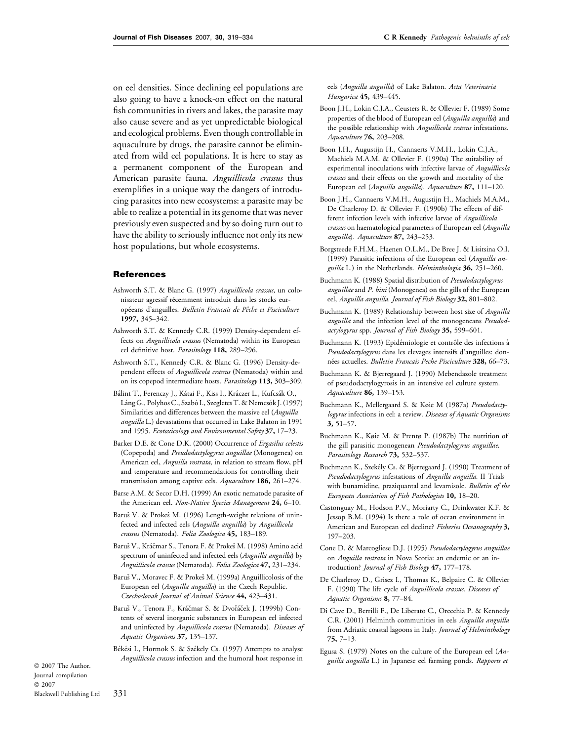on eel densities. Since declining eel populations are also going to have a knock-on effect on the natural fish communities in rivers and lakes, the parasite may also cause severe and as yet unpredictable biological and ecological problems. Even though controllable in aquaculture by drugs, the parasite cannot be eliminated from wild eel populations. It is here to stay as a permanent component of the European and American parasite fauna. Anguillicola crassus thus exemplifies in a unique way the dangers of introducing parasites into new ecosystems: a parasite may be able to realize a potential in its genome that was never previously even suspected and by so doing turn out to have the ability to seriously influence not only its new host populations, but whole ecosystems.

### **References**

- Ashworth S.T. & Blanc G. (1997) Anguillicola crassus, un colonisateur agressif récemment introduit dans les stocks européeans d'anguilles. Bulletin Francais de Pêche et Pisciculture 1997, 345–342.
- Ashworth S.T. & Kennedy C.R. (1999) Density-dependent effects on Anguillicola crassus (Nematoda) within its European eel definitive host. Parasitology 118, 289-296.
- Ashworth S.T., Kennedy C.R. & Blanc G. (1996) Density-dependent effects of *Anguillicola crassus* (Nematoda) within and on its copepod intermediate hosts. Parasitology 113, 303–309.
- Bálint T., Ferenczy J., Kátai F., Kiss I., Kráczer L., Kufcsák O., Láng G., Polyhos C., Szabó I., Szegletes T. & Nemcsók J. (1997) Similarities and differences between the massive eel (Anguilla anguilla L.) devastations that occurred in Lake Balaton in 1991 and 1995. Ecotoxicology and Environmental Safety 37, 17–23.
- Barker D.E. & Cone D.K. (2000) Occurrence of Ergasilus celestis (Copepoda) and Pseudodactylogyrus anguillae (Monogenea) on American eel, Anguilla rostrata, in relation to stream flow, pH and temperature and recommendations for controlling their transmission among captive eels. Aquaculture 186, 261–274.
- Barse A.M. & Secor D.H. (1999) An exotic nematode parasite of the American eel. Non-Native Species Management 24, 6-10.
- Baruš V. & Prokeš M. (1996) Length-weight relations of uninfected and infected eels (Anguilla anguilla) by Anguillicola crassus (Nematoda). Folia Zoologica 45, 183–189.
- Baruš V., Kráčmar S., Tenora F. & Prokeš M. (1998) Amino acid spectrum of uninfected and infected eels (Anguilla anguilla) by Anguillicola crassus (Nematoda). Folia Zoologica 47, 231–234.
- Baruš V., Moravec F. & Prokeš M. (1999a) Anguillicolosis of the European eel (Anguilla anguilla) in the Czech Republic. Czechoslovak Journal of Animal Science 44, 423–431.
- Baruš V., Tenora F., Kráčmar S. & Dvořáček J. (1999b) Contents of several inorganic substances in European eel infected and uninfected by Anguillicola crassus (Nematoda). Diseases of Aquatic Organisms 37, 135–137.
- Békési I., Hormok S. & Székely Cs. (1997) Attempts to analyse Anguillicola crassus infection and the humoral host response in

eels (Anguilla anguilla) of Lake Balaton. Acta Veterinaria Hungarica 45, 439–445.

- Boon J.H., Lokin C.J.A., Ceusters R. & Ollevier F. (1989) Some properties of the blood of European eel (Anguilla anguilla) and the possible relationship with Anguillicola crassus infestations. Aquaculture 76, 203–208.
- Boon J.H., Augustijn H., Cannaerts V.M.H., Lokin C.J.A., Machiels M.A.M. & Ollevier F. (1990a) The suitability of experimental inoculations with infective larvae of Anguillicola crassus and their effects on the growth and mortality of the European eel (Anguilla anguilla). Aquaculture 87, 111–120.
- Boon J.H., Cannaerts V.M.H., Augustijn H., Machiels M.A.M., De Charleroy D. & Ollevier F. (1990b) The effects of different infection levels with infective larvae of Anguillicola crassus on haematological parameters of European eel (Anguilla anguilla). Aquaculture 87, 243–253.
- Borgsteede F.H.M., Haenen O.L.M., De Bree J. & Lisitsina O.I. (1999) Parasitic infections of the European eel (Anguilla anguilla L.) in the Netherlands. Helminthologia 36, 251–260.
- Buchmann K. (1988) Spatial distribution of Pseudodactylogyrus anguillae and P. bini (Monogenea) on the gills of the European eel, Anguilla anguilla. Journal of Fish Biology 32, 801-802.
- Buchmann K. (1989) Relationship between host size of Anguilla anguilla and the infection level of the monogeneans Pseudodactylogyrus spp. Journal of Fish Biology 35, 599–601.
- Buchmann K. (1993) Epidémiologie et contrôle des infections à Pseudodactylogyrus dans les elevages intensifs d'anguilles: données actuelles. Bulletin Francais Peche Pisciculture 328, 66-73.
- Buchmann K. & Bjerregaard J. (1990) Mebendazole treatment of pseudodactylogyrosis in an intensive eel culture system. Aquaculture 86, 139–153.
- Buchmann K., Mellergaard S. & Køie M (1987a) Pseudodactylogyrus infections in eel: a review. Diseases of Aquatic Organisms 3, 51–57.
- Buchmann K., Køie M. & Prentø P. (1987b) The nutrition of the gill parasitic monogenean Pseudodactylogyrus anguillae. Parasitology Research 73, 532-537.
- Buchmann K., Szekély Cs. & Bjerregaard J. (1990) Treatment of Pseudodactylogyrus infestations of Anguilla anguilla. II Trials with bunamidine, praziquantal and levamisole. Bulletin of the European Association of Fish Pathologists 10, 18–20.
- Castonguay M., Hodson P.V., Moriarty C., Drinkwater K.F. & Jessop B.M. (1994) Is there a role of ocean environment in American and European eel decline? Fisheries Oceanography 3, 197–203.
- Cone D. & Marcogliese D.J. (1995) Pseudodactylogyrus anguillae on Anguilla rostrata in Nova Scotia: an endemic or an introduction? Journal of Fish Biology 47, 177–178.
- De Charleroy D., Grisez I., Thomas K., Belpaire C. & Ollevier F. (1990) The life cycle of Anguillicola crassus. Diseases of Aquatic Organisms 8, 77–84.
- Di Cave D., Berrilli F., De Liberato C., Orecchia P. & Kennedy C.R. (2001) Helminth communities in eels Anguilla anguilla from Adriatic coastal lagoons in Italy. Journal of Helminthology 75, 7–13.
- Egusa S. (1979) Notes on the culture of the European eel (Anguilla anguilla L.) in Japanese eel farming ponds. Rapports et

© 2007 The Author. Journal compilation © 2007 Blackwell Publishing Ltd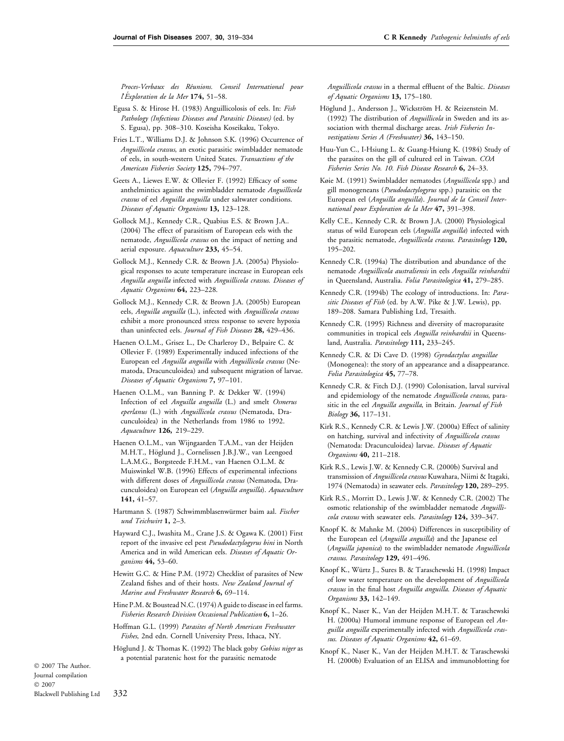Proces-Verbaux des Réunions. Conseil International pour l'Éxploration de la Mer 174, 51-58.

- Egusa S. & Hirose H. (1983) Anguillicolosis of eels. In: Fish Pathology (Infectious Diseases and Parasitic Diseases) (ed. by S. Egusa), pp. 308–310. Koseisha Koseikaku, Tokyo.
- Fries L.T., Williams D.J. & Johnson S.K. (1996) Occurrence of Anguillicola crassus, an exotic parasitic swimbladder nematode of eels, in south-western United States. Transactions of the American Fisheries Society 125, 794–797.
- Geets A., Liewes E.W. & Ollevier F. (1992) Efficacy of some anthelmintics against the swimbladder nematode Anguillicola crassus of eel Anguilla anguilla under saltwater conditions. Diseases of Aquatic Organisms 13, 123–128.
- Gollock M.J., Kennedy C.R., Quabius E.S. & Brown J.A.. (2004) The effect of parasitism of European eels with the nematode, Anguillicola crassus on the impact of netting and aerial exposure. Aquaculture 233, 45–54.
- Gollock M.J., Kennedy C.R. & Brown J.A. (2005a) Physiological responses to acute temperature increase in European eels Anguilla anguilla infected with Anguillicola crassus. Diseases of Aquatic Organisms 64, 223–228.
- Gollock M.J., Kennedy C.R. & Brown J.A. (2005b) European eels, Anguilla anguilla (L.), infected with Anguillicola crassus exhibit a more pronounced stress response to severe hypoxia than uninfected eels. Journal of Fish Diseases 28, 429-436.
- Haenen O.L.M., Grisez L., De Charleroy D., Belpaire C. & Ollevier F. (1989) Experimentally induced infections of the European eel Anguilla anguilla with Anguillicola crassus (Nematoda, Dracunculoidea) and subsequent migration of larvae. Diseases of Aquatic Organisms 7, 97–101.
- Haenen O.L.M., van Banning P. & Dekker W. (1994) Infection of eel Anguilla anguilla (L.) and smelt Osmerus eperlanus (L.) with Anguillicola crassus (Nematoda, Dracunculoidea) in the Netherlands from 1986 to 1992. Aquaculture 126, 219–229.
- Haenen O.L.M., van Wijngaarden T.A.M., van der Heijden M.H.T., Höglund J., Cornelissen J.B.J.W., van Leengoed L.A.M.G., Borgsteede F.H.M., van Haenen O.L.M. & Muiswinkel W.B. (1996) Effects of experimental infections with different doses of Anguillicola crassus (Nematoda, Dracunculoidea) on European eel (Anguilla anguilla). Aquaculture 141, 41–57.
- Hartmann S. (1987) Schwimmblasenwürmer baim aal. Fischer und Teichwirt 1, 2–3.
- Hayward C.J., Iwashita M., Crane J.S. & Ogawa K. (2001) First report of the invasive eel pest Pseudodactylogyrus bini in North America and in wild American eels. Diseases of Aquatic Organisms 44, 53–60.
- Hewitt G.C. & Hine P.M. (1972) Checklist of parasites of New Zealand fishes and of their hosts. New Zealand Journal of Marine and Freshwater Research 6, 69-114.
- Hine P.M. & Boustead N.C. (1974) A guide to disease in eel farms. Fisheries Research Division Occasional Publication 6, 1–26.
- Hoffman G.L. (1999) Parasites of North American Freshwater Fishes, 2nd edn. Cornell University Press, Ithaca, NY.

Höglund J. & Thomas K. (1992) The black goby Gobius niger as a potential paratenic host for the parasitic nematode

© 2007 The Author. Journal compilation © 2007 Blackwell Publishing Ltd

332

Anguillicola crassus in a thermal effluent of the Baltic. Diseases of Aquatic Organisms 13, 175–180.

- Höglund J., Andersson J., Wickström H. & Reizenstein M. (1992) The distribution of Anguillicola in Sweden and its association with thermal discharge areas. Irish Fisheries Investigations Series A (Freshwater) 36, 143–150.
- Huu-Yun C., I-Hsiung L. & Guang-Hsiung K. (1984) Study of the parasites on the gill of cultured eel in Taiwan. COA Fisheries Series No. 10. Fish Disease Research 6, 24–33.
- Køie M. (1991) Swimbladder nematodes (Anguillicola spp.) and gill monogeneans (Pseudodactylogyrus spp.) parasitic on the European eel (Anguilla anguilla). Journal de la Conseil International pour Exploration de la Mer 47, 391–398.
- Kelly C.E., Kennedy C.R. & Brown J.A. (2000) Physiological status of wild European eels (Anguilla anguilla) infected with the parasitic nematode, Anguillicola crassus. Parasitology 120, 195–202.
- Kennedy C.R. (1994a) The distribution and abundance of the nematode Anguillicola australiensis in eels Anguilla reinhardtii in Queensland, Australia. Folia Parasitologica 41, 279–285.
- Kennedy C.R. (1994b) The ecology of introductions. In: Parasitic Diseases of Fish (ed. by A.W. Pike & J.W. Lewis), pp. 189–208. Samara Publishing Ltd, Tresaith.
- Kennedy C.R. (1995) Richness and diversity of macroparasite communities in tropical eels Anguilla reinhardtii in Queensland, Australia. Parasitology 111, 233-245.
- Kennedy C.R. & Di Cave D. (1998) Gyrodactylus anguillae (Monogenea): the story of an appearance and a disappearance. Folia Parasitologica 45, 77–78.
- Kennedy C.R. & Fitch D.J. (1990) Colonisation, larval survival and epidemiology of the nematode Anguillicola crassus, parasitic in the eel Anguilla anguilla, in Britain. Journal of Fish Biology 36, 117–131.
- Kirk R.S., Kennedy C.R. & Lewis J.W. (2000a) Effect of salinity on hatching, survival and infectivity of Anguillicola crassus (Nematoda: Dracunculoidea) larvae. Diseases of Aquatic Organisms 40, 211–218.
- Kirk R.S., Lewis J.W. & Kennedy C.R. (2000b) Survival and transmission of Anguillicola crassus Kuwahara, Niimi & Itagaki, 1974 (Nematoda) in seawater eels. Parasitology 120, 289–295.
- Kirk R.S., Morritt D., Lewis J.W. & Kennedy C.R. (2002) The osmotic relationship of the swimbladder nematode Anguillicola crassus with seawater eels. Parasitology 124, 339-347.
- Knopf K. & Mahnke M. (2004) Differences in susceptibility of the European eel (Anguilla anguilla) and the Japanese eel (Anguilla japonica) to the swimbladder nematode Anguillicola crassus. Parasitology 129, 491–496.
- Knopf K., Würtz J., Sures B. & Taraschewski H. (1998) Impact of low water temperature on the development of Anguillicola crassus in the final host Anguilla anguilla. Diseases of Aquatic Organisms 33, 142–149.
- Knopf K., Naser K., Van der Heijden M.H.T. & Taraschewski H. (2000a) Humoral immune response of European eel Anguilla anguilla experimentally infected with Anguillicola crassus. Diseases of Aquatic Organisms 42, 61–69.
- Knopf K., Naser K., Van der Heijden M.H.T. & Taraschewski H. (2000b) Evaluation of an ELISA and immunoblotting for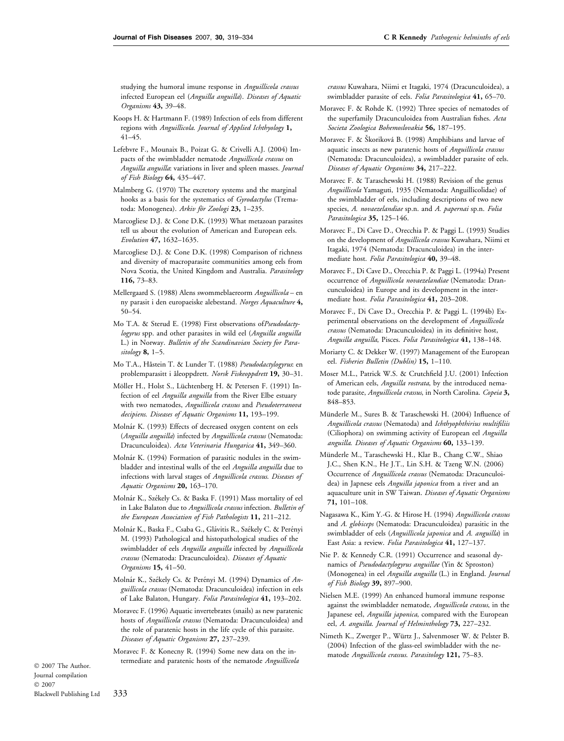studying the humoral imune response in Anguillicola crassus infected European eel (Anguilla anguilla). Diseases of Aquatic Organisms 43, 39–48.

- Koops H. & Hartmann F. (1989) Infection of eels from different regions with Anguillicola. Journal of Applied Ichthyology 1, 41–45.
- Lefebvre F., Mounaix B., Poizat G. & Crivelli A.J. (2004) Impacts of the swimbladder nematode Anguillicola crassus on Anguilla anguilla: variations in liver and spleen masses. Journal of Fish Biology 64, 435–447.
- Malmberg G. (1970) The excretory systems and the marginal hooks as a basis for the systematics of Gyrodactylus (Trematoda: Monogenea). Arkiv för Zoologi 23, 1-235.
- Marcogliese D.J. & Cone D.K. (1993) What metazoan parasites tell us about the evolution of American and European eels. Evolution 47, 1632–1635.
- Marcogliese D.J. & Cone D.K. (1998) Comparison of richness and diversity of macroparasite communities among eels from Nova Scotia, the United Kingdom and Australia. Parasitology 116, 73–83.
- Mellergaard S. (1988) Alens swommeblaereorm Anguillicola en ny parasit i den europaeiske alebestand. Norges Aquaculture 4, 50–54.
- Mo T.A. & Sterud E. (1998) First observations of Pseudodactylogyrus spp. and other parasites in wild eel (Anguilla anguilla L.) in Norway. Bulletin of the Scandinavian Society for Parasitology  $8, 1-5.$
- Mo T.A., Håstein T. & Lunder T. (1988) Pseudodactylogyrus: en problemparasitt i åleoppdrett. Norsk Fiskeoppdrett 19, 30-31.
- Möller H., Holst S., Lüchtenberg H. & Petersen F. (1991) Infection of eel Anguilla anguilla from the River Elbe estuary with two nematodes, Anguillicola crassus and Pseudoterranova decipiens. Diseases of Aquatic Organisms 11, 193–199.
- Molnár K. (1993) Effects of decreased oxygen content on eels (Anguilla anguilla) infected by Anguillicola crassus (Nematoda: Dracunculoidea). Acta Veterinaria Hungarica 41, 349–360.
- Molnár K. (1994) Formation of parasitic nodules in the swimbladder and intestinal walls of the eel Anguilla anguilla due to infections with larval stages of Anguillicola crassus. Diseases of Aquatic Organisms 20, 163–170.
- Molnár K., Székely Cs. & Baska F. (1991) Mass mortality of eel in Lake Balaton due to Anguillicola crassus infection. Bulletin of the European Association of Fish Pathologists 11, 211–212.
- Molnár K., Baska F., Csaba G., Glávitis R., Székely C. & Perényi M. (1993) Pathological and histopathological studies of the swimbladder of eels Anguilla anguilla infected by Anguillicola crassus (Nematoda: Dracunculoidea). Diseases of Aquatic Organisms 15, 41–50.
- Molnár K., Székely Cs. & Perényi M. (1994) Dynamics of Anguillicola crassus (Nematoda: Dracunculoidea) infection in eels of Lake Balaton, Hungary. Folia Parasitologica 41, 193–202.
- Moravec F. (1996) Aquatic invertebrates (snails) as new paratenic hosts of Anguillicola crassus (Nematoda: Dracunculoidea) and the role of paratenic hosts in the life cycle of this parasite. Diseases of Aquatic Organisms 27, 237–239.
- Moravec F. & Konecny R. (1994) Some new data on the intermediate and paratenic hosts of the nematode Anguillicola

crassus Kuwahara, Niimi et Itagaki, 1974 (Dracunculoidea), a swimbladder parasite of eels. Folia Parasitologica 41, 65–70.

- Moravec F. & Rohde K. (1992) Three species of nematodes of the superfamily Dracunculoidea from Australian fishes. Acta Societa Zoologica Bohemoslovakia 56, 187–195.
- Moravec F. & Škoriková B. (1998) Amphibians and larvae of aquatic insects as new paratenic hosts of Anguillicola crassus (Nematoda: Dracunculoidea), a swimbladder parasite of eels. Diseases of Aquatic Organisms 34, 217–222.
- Moravec F. & Taraschewski H. (1988) Revision of the genus Anguillicola Yamaguti, 1935 (Nematoda: Anguillicolidae) of the swimbladder of eels, including descriptions of two new species, A. novaezelandiae sp.n. and A. papernai sp.n. Folia Parasitologica 35, 125-146.
- Moravec F., Di Cave D., Orecchia P. & Paggi L. (1993) Studies on the development of Anguillicola crassus Kuwahara, Niimi et Itagaki, 1974 (Nematoda: Dracunculoidea) in the intermediate host. Folia Parasitologica 40, 39–48.
- Moravec F., Di Cave D., Orecchia P. & Paggi L. (1994a) Present occurrence of Anguillicola novaezelandiae (Nematoda: Drancunculoidea) in Europe and its development in the intermediate host. Folia Parasitologica 41, 203–208.
- Moravec F., Di Cave D., Orecchia P. & Paggi L. (1994b) Experimental observations on the development of Anguillicola crassus (Nematoda: Dracunculoidea) in its definitive host, Anguilla anguilla, Pisces. Folia Parasitologica 41, 138–148.
- Moriarty C. & Dekker W. (1997) Management of the European eel. Fisheries Bulletin (Dublin) 15, 1–110.
- Moser M.L., Patrick W.S. & Crutchfield J.U. (2001) Infection of American eels, Anguilla rostrata, by the introduced nematode parasite, Anguillicola crassus, in North Carolina. Copeia 3, 848–853.
- Münderle M., Sures B. & Taraschewski H. (2004) Influence of Anguillicola crassus (Nematoda) and Ichthyophthirius multifiliis (Ciliophora) on swimming activity of European eel Anguilla anguilla. Diseases of Aquatic Organisms 60, 133–139.
- Münderle M., Taraschewski H., Klar B., Chang C.W., Shiao J.C., Shen K.N., He J.T., Lin S.H. & Tzeng W.N. (2006) Occurrence of Anguillicola crassus (Nematoda: Dracunculoidea) in Japnese eels Anguilla japonica from a river and an aquaculture unit in SW Taiwan. Diseases of Aquatic Organisms 71, 101–108.
- Nagasawa K., Kim Y.-G. & Hirose H. (1994) Anguillicola crassus and A. globiceps (Nematoda: Dracunculoidea) parasitic in the swimbladder of eels (Anguillicola japonica and A. anguilla) in East Asia: a review. Folia Parasitologica 41, 127-137.
- Nie P. & Kennedy C.R. (1991) Occurrence and seasonal dynamics of Pseudodactylogyrus anguillae (Yin & Sproston) (Monogenea) in eel Anguilla anguilla (L.) in England. Journal of Fish Biology 39, 897–900.
- Nielsen M.E. (1999) An enhanced humoral immune response against the swimbladder nematode, Anguillicola crassus, in the Japanese eel, Anguilla japonica, compared with the European eel, A. anguilla. Journal of Helminthology 73, 227–232.
- Nimeth K., Zwerger P., Würtz J., Salvenmoser W. & Pelster B. (2004) Infection of the glass-eel swimbladder with the nematode Anguillicola crassus. Parasitology 121, 75–83.

© 2007 The Author. Journal compilation © 2007 Blackwell Publishing Ltd